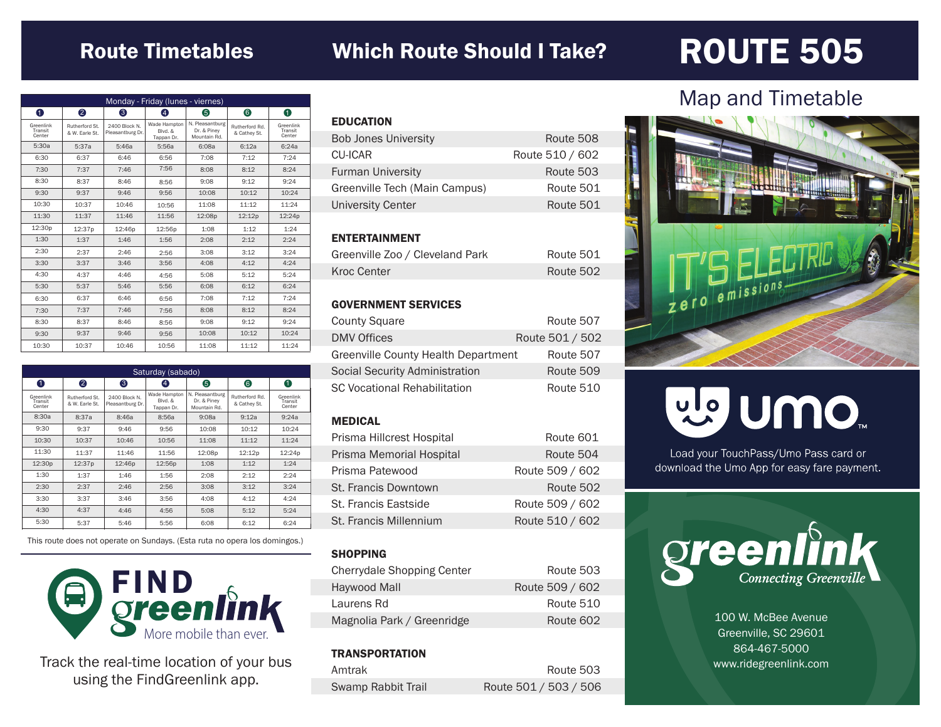### Route Timetables Which Route Should I Take?

## ROUTE 505

| Monday - Friday (lunes - viernes) |                                  |                                   |                                       |                                                |                                |                                |
|-----------------------------------|----------------------------------|-----------------------------------|---------------------------------------|------------------------------------------------|--------------------------------|--------------------------------|
| 0                                 | 2                                | 6                                 | 4                                     | 6                                              | 6                              | 0                              |
| Greenlink<br>Transit<br>Center    | Rutherford St.<br>& W. Earle St. | 2400 Block N.<br>Pleasantburg Dr. | Wade Hampton<br>Blvd. &<br>Tappan Dr. | N. Pleasantburg<br>Dr. & Pinev<br>Mountain Rd. | Rutherford Rd.<br>& Cathey St. | Greenlink<br>Transit<br>Center |
| 5:30a                             | 5:37a                            | 5:46a                             | 5:56a                                 | 6:08a                                          | 6:12a                          | 6:24a                          |
| 6:30                              | 6:37                             | 6:46                              | 6:56                                  | 7:08                                           | 7:12                           | 7:24                           |
| 7:30                              | 7:37                             | 7:46                              | 7:56                                  | 8:08                                           | 8:12                           | 8:24                           |
| 8:30                              | 8:37                             | 8:46                              | 8:56                                  | 9:08                                           | 9:12                           | 9:24                           |
| 9:30                              | 9:37                             | 9:46                              | 9:56                                  | 10:08                                          | 10:12                          | 10:24                          |
| 10:30                             | 10:37                            | 10:46                             | 10:56                                 | 11:08                                          | 11:12                          | 11:24                          |
| 11:30                             | 11:37                            | 11:46                             | 11:56                                 | 12:08p                                         | 12:12p                         | 12:24p                         |
| 12:30p                            | 12:37p                           | 12:46p                            | 12:56p                                | 1:08                                           | 1:12                           | 1:24                           |
| 1:30                              | 1:37                             | 1:46                              | 1:56                                  | 2:08                                           | 2:12                           | 2:24                           |
| 2:30                              | 2:37                             | 2:46                              | 2:56                                  | 3:08                                           | 3:12                           | 3:24                           |
| 3:30                              | 3:37                             | 3:46                              | 3:56                                  | 4:08                                           | 4:12                           | 4:24                           |
| 4:30                              | 4:37                             | 4:46                              | 4:56                                  | 5:08                                           | 5:12                           | 5:24                           |
| 5:30                              | 5:37                             | 5:46                              | 5:56                                  | 6:08                                           | 6:12                           | 6:24                           |
| 6:30                              | 6:37                             | 6:46                              | 6:56                                  | 7:08                                           | 7:12                           | 7:24                           |
| 7:30                              | 7:37                             | 7:46                              | 7:56                                  | 8:08                                           | 8:12                           | 8:24                           |
| 8:30                              | 8:37                             | 8:46                              | 8:56                                  | 9:08                                           | 9:12                           | 9:24                           |
| 9:30                              | 9:37                             | 9:46                              | 9:56                                  | 10:08                                          | 10:12                          | 10:24                          |
| 10:30                             | 10:37                            | 10:46                             | 10:56                                 | 11:08                                          | 11:12                          | 11:24                          |

| Saturday (sabado)              |                                  |                                   |                                       |                                                |                                |                                |
|--------------------------------|----------------------------------|-----------------------------------|---------------------------------------|------------------------------------------------|--------------------------------|--------------------------------|
| 0                              | 2                                | 6                                 | $\left[ 4 \right]$                    | 6                                              | 6                              | 0                              |
| Greenlink<br>Transit<br>Center | Rutherford St.<br>& W. Earle St. | 2400 Block N.<br>Pleasantburg Dr. | Wade Hampton<br>Blvd, &<br>Tappan Dr. | N. Pleasantburg<br>Dr. & Piney<br>Mountain Rd. | Rutherford Rd.<br>& Cathey St. | Greenlink<br>Transit<br>Center |
| 8:30a                          | 8:37a                            | 8:46a                             | 8:56a                                 | 9:08a                                          | 9:12a                          | 9:24a                          |
| 9:30                           | 9:37                             | 9:46                              | 9:56                                  | 10:08                                          | 10:12                          | 10:24                          |
| 10:30                          | 10:37                            | 10:46                             | 10:56                                 | 11:08                                          | 11:12                          | 11:24                          |
| 11:30                          | 11:37                            | 11:46                             | 11:56                                 | 12:08p                                         | 12:12p                         | 12:24p                         |
| 12:30p                         | 12:37p                           | 12:46p                            | 12:56p                                | 1:08                                           | 1:12                           | 1:24                           |
| 1:30                           | 1:37                             | 1:46                              | 1:56                                  | 2:08                                           | 2:12                           | 2:24                           |
| 2:30                           | 2:37                             | 2:46                              | 2:56                                  | 3:08                                           | 3:12                           | 3:24                           |
| 3:30                           | 3:37                             | 3:46                              | 3:56                                  | 4:08                                           | 4:12                           | 4:24                           |
| 4:30                           | 4:37                             | 4:46                              | 4:56                                  | 5:08                                           | 5:12                           | 5:24                           |
| 5:30                           | 5:37                             | 5:46                              | 5:56                                  | 6:08                                           | 6:12                           | 6:24                           |

This route does not operate on Sundays. (Esta ruta no opera los domingos.)



Track the real-time location of your bus using the FindGreenlink app.

| <b>EDUCATION</b>              |                 |
|-------------------------------|-----------------|
| <b>Bob Jones University</b>   | Route 508       |
| CU-ICAR                       | Route 510 / 602 |
| <b>Furman University</b>      | Route 503       |
| Greenville Tech (Main Campus) | Route 501       |
| <b>University Center</b>      | Route 501       |
|                               |                 |

#### ENTERTAINMENT

| Greenville Zoo / Cleveland Park | Route 501 |
|---------------------------------|-----------|
| Kroc Center                     | Route 502 |

#### GOVERNMENT SERVICES

| <b>County Square</b>                | Route 507       |
|-------------------------------------|-----------------|
| <b>DMV Offices</b>                  | Route 501 / 502 |
| Greenville County Health Department | Route 507       |
| Social Security Administration      | Route 509       |
| <b>SC Vocational Rehabilitation</b> | Route 510       |

#### MEDICAL

| Prisma Hillcrest Hospital | Route 601       |
|---------------------------|-----------------|
| Prisma Memorial Hospital  | Route 504       |
| Prisma Patewood           | Route 509 / 602 |
| St. Francis Downtown      | Route 502       |
| St. Francis Eastside      | Route 509 / 602 |
| St. Francis Millennium    | Route 510 / 602 |

#### **SHOPPING**

| Cherrydale Shopping Center | Route 503       |
|----------------------------|-----------------|
| Haywood Mall               | Route 509 / 602 |
| Laurens Rd                 | Route 510       |
| Magnolia Park / Greenridge | Route 602       |

#### **TRANSPORTATION**

| Amtrak             | Route 503             |
|--------------------|-----------------------|
| Swamp Rabbit Trail | Route 501 / 503 / 506 |

### Map and Timetable



# mo nulle

Load your TouchPass/Umo Pass card or download the Umo App for easy fare payment.



100 W. McBee Avenue Greenville, SC 29601 864-467-5000 www.ridegreenlink.com